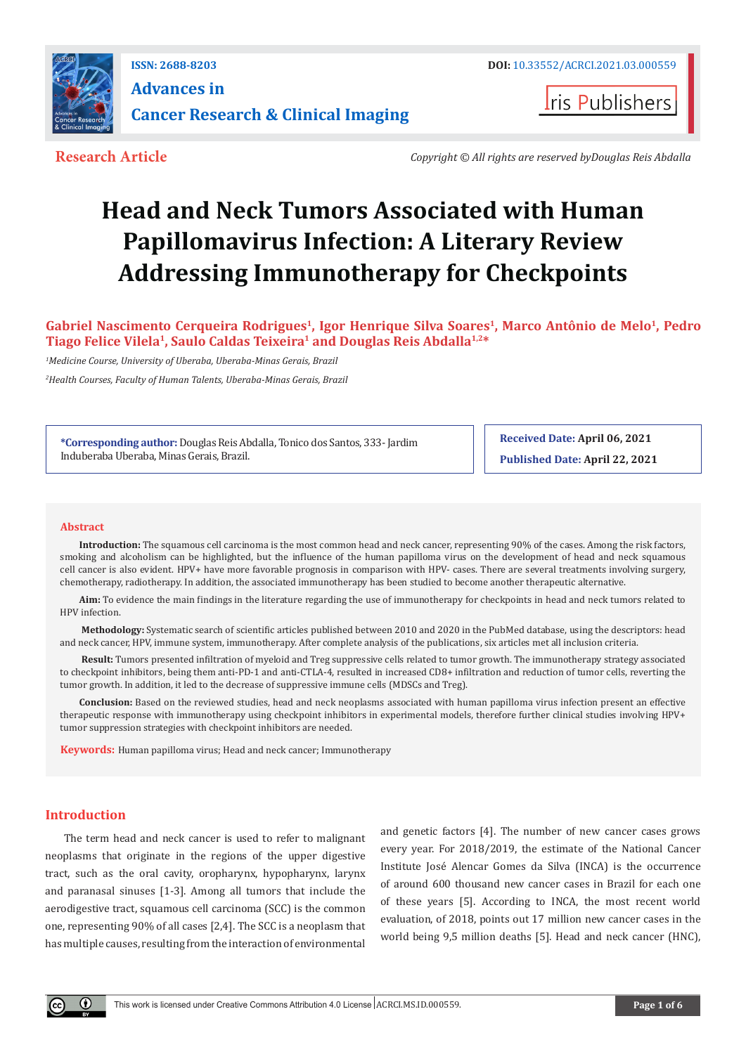

**ISSN: 2688-8203 DOI:** [10.33552/ACRCI.2021.03.000559](http://dx.doi.org/10.33552/ACRCI.2021.03.000559) **Advances in Cancer Research & Clinical Imaging** 



**Research Article** *Copyright © All rights are reserved byDouglas Reis Abdalla*

# **Head and Neck Tumors Associated with Human Papillomavirus Infection: A Literary Review Addressing Immunotherapy for Checkpoints**

**Gabriel Nascimento Cerqueira Rodrigues1, Igor Henrique Silva Soares1, Marco Antônio de Melo1, Pedro Tiago Felice Vilela1, Saulo Caldas Teixeira1 and Douglas Reis Abdalla1,2\***

*1 Medicine Course, University of Uberaba, Uberaba-Minas Gerais, Brazil*

*2 Health Courses, Faculty of Human Talents, Uberaba-Minas Gerais, Brazil*

**\*Corresponding author:** Douglas Reis Abdalla, Tonico dos Santos, 333- Jardim Induberaba Uberaba, Minas Gerais, Brazil.

**Received Date: April 06, 2021 Published Date: April 22, 2021**

#### **Abstract**

**Introduction:** The squamous cell carcinoma is the most common head and neck cancer, representing 90% of the cases. Among the risk factors, smoking and alcoholism can be highlighted, but the influence of the human papilloma virus on the development of head and neck squamous cell cancer is also evident. HPV+ have more favorable prognosis in comparison with HPV- cases. There are several treatments involving surgery, chemotherapy, radiotherapy. In addition, the associated immunotherapy has been studied to become another therapeutic alternative.

**Aim:** To evidence the main findings in the literature regarding the use of immunotherapy for checkpoints in head and neck tumors related to HPV infection.

 **Methodology:** Systematic search of scientific articles published between 2010 and 2020 in the PubMed database, using the descriptors: head and neck cancer, HPV, immune system, immunotherapy. After complete analysis of the publications, six articles met all inclusion criteria.

 **Result:** Tumors presented infiltration of myeloid and Treg suppressive cells related to tumor growth. The immunotherapy strategy associated to checkpoint inhibitors, being them anti-PD-1 and anti-CTLA-4, resulted in increased CD8+ infiltration and reduction of tumor cells, reverting the tumor growth. In addition, it led to the decrease of suppressive immune cells (MDSCs and Treg).

**Conclusion:** Based on the reviewed studies, head and neck neoplasms associated with human papilloma virus infection present an effective therapeutic response with immunotherapy using checkpoint inhibitors in experimental models, therefore further clinical studies involving HPV+ tumor suppression strategies with checkpoint inhibitors are needed.

**Keywords:** Human papilloma virus; Head and neck cancer; Immunotherapy

## **Introduction**

The term head and neck cancer is used to refer to malignant neoplasms that originate in the regions of the upper digestive tract, such as the oral cavity, oropharynx, hypopharynx, larynx and paranasal sinuses [1-3]. Among all tumors that include the aerodigestive tract, squamous cell carcinoma (SCC) is the common one, representing 90% of all cases [2,4]. The SCC is a neoplasm that has multiple causes, resulting from the interaction of environmental and genetic factors [4]. The number of new cancer cases grows every year. For 2018/2019, the estimate of the National Cancer Institute José Alencar Gomes da Silva (INCA) is the occurrence of around 600 thousand new cancer cases in Brazil for each one of these years [5]. According to INCA, the most recent world evaluation, of 2018, points out 17 million new cancer cases in the world being 9,5 million deaths [5]. Head and neck cancer (HNC),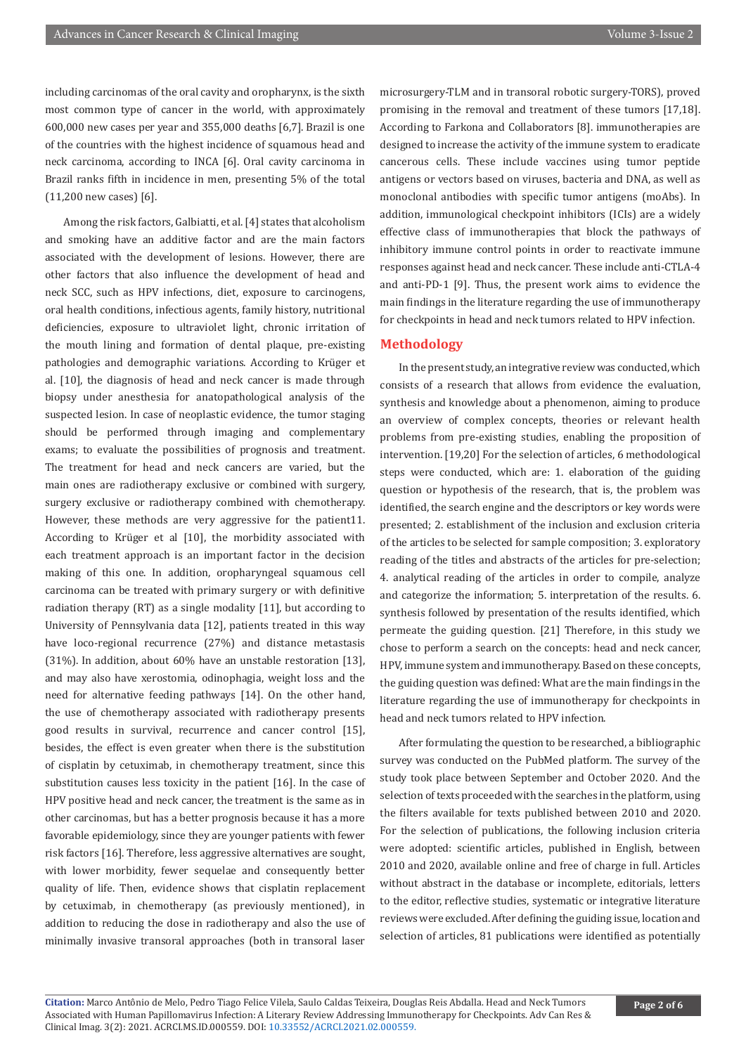including carcinomas of the oral cavity and oropharynx, is the sixth most common type of cancer in the world, with approximately 600,000 new cases per year and 355,000 deaths [6,7]. Brazil is one of the countries with the highest incidence of squamous head and neck carcinoma, according to INCA [6]. Oral cavity carcinoma in Brazil ranks fifth in incidence in men, presenting 5% of the total (11,200 new cases) [6].

Among the risk factors, Galbiatti, et al. [4] states that alcoholism and smoking have an additive factor and are the main factors associated with the development of lesions. However, there are other factors that also influence the development of head and neck SCC, such as HPV infections, diet, exposure to carcinogens, oral health conditions, infectious agents, family history, nutritional deficiencies, exposure to ultraviolet light, chronic irritation of the mouth lining and formation of dental plaque, pre-existing pathologies and demographic variations. According to Krüger et al. [10], the diagnosis of head and neck cancer is made through biopsy under anesthesia for anatopathological analysis of the suspected lesion. In case of neoplastic evidence, the tumor staging should be performed through imaging and complementary exams; to evaluate the possibilities of prognosis and treatment. The treatment for head and neck cancers are varied, but the main ones are radiotherapy exclusive or combined with surgery, surgery exclusive or radiotherapy combined with chemotherapy. However, these methods are very aggressive for the patient11. According to Krüger et al [10], the morbidity associated with each treatment approach is an important factor in the decision making of this one. In addition, oropharyngeal squamous cell carcinoma can be treated with primary surgery or with definitive radiation therapy (RT) as a single modality [11], but according to University of Pennsylvania data [12], patients treated in this way have loco-regional recurrence (27%) and distance metastasis (31%). In addition, about 60% have an unstable restoration [13], and may also have xerostomia, odinophagia, weight loss and the need for alternative feeding pathways [14]. On the other hand, the use of chemotherapy associated with radiotherapy presents good results in survival, recurrence and cancer control [15], besides, the effect is even greater when there is the substitution of cisplatin by cetuximab, in chemotherapy treatment, since this substitution causes less toxicity in the patient [16]. In the case of HPV positive head and neck cancer, the treatment is the same as in other carcinomas, but has a better prognosis because it has a more favorable epidemiology, since they are younger patients with fewer risk factors [16]. Therefore, less aggressive alternatives are sought, with lower morbidity, fewer sequelae and consequently better quality of life. Then, evidence shows that cisplatin replacement by cetuximab, in chemotherapy (as previously mentioned), in addition to reducing the dose in radiotherapy and also the use of minimally invasive transoral approaches (both in transoral laser

microsurgery-TLM and in transoral robotic surgery-TORS), proved promising in the removal and treatment of these tumors [17,18]. According to Farkona and Collaborators [8]. immunotherapies are designed to increase the activity of the immune system to eradicate cancerous cells. These include vaccines using tumor peptide antigens or vectors based on viruses, bacteria and DNA, as well as monoclonal antibodies with specific tumor antigens (moAbs). In addition, immunological checkpoint inhibitors (ICIs) are a widely effective class of immunotherapies that block the pathways of inhibitory immune control points in order to reactivate immune responses against head and neck cancer. These include anti-CTLA-4 and anti-PD-1 [9]. Thus, the present work aims to evidence the main findings in the literature regarding the use of immunotherapy for checkpoints in head and neck tumors related to HPV infection.

#### **Methodology**

In the present study, an integrative review was conducted, which consists of a research that allows from evidence the evaluation, synthesis and knowledge about a phenomenon, aiming to produce an overview of complex concepts, theories or relevant health problems from pre-existing studies, enabling the proposition of intervention. [19,20] For the selection of articles, 6 methodological steps were conducted, which are: 1. elaboration of the guiding question or hypothesis of the research, that is, the problem was identified, the search engine and the descriptors or key words were presented; 2. establishment of the inclusion and exclusion criteria of the articles to be selected for sample composition; 3. exploratory reading of the titles and abstracts of the articles for pre-selection; 4. analytical reading of the articles in order to compile, analyze and categorize the information; 5. interpretation of the results. 6. synthesis followed by presentation of the results identified, which permeate the guiding question. [21] Therefore, in this study we chose to perform a search on the concepts: head and neck cancer, HPV, immune system and immunotherapy. Based on these concepts, the guiding question was defined: What are the main findings in the literature regarding the use of immunotherapy for checkpoints in head and neck tumors related to HPV infection.

After formulating the question to be researched, a bibliographic survey was conducted on the PubMed platform. The survey of the study took place between September and October 2020. And the selection of texts proceeded with the searches in the platform, using the filters available for texts published between 2010 and 2020. For the selection of publications, the following inclusion criteria were adopted: scientific articles, published in English, between 2010 and 2020, available online and free of charge in full. Articles without abstract in the database or incomplete, editorials, letters to the editor, reflective studies, systematic or integrative literature reviews were excluded. After defining the guiding issue, location and selection of articles, 81 publications were identified as potentially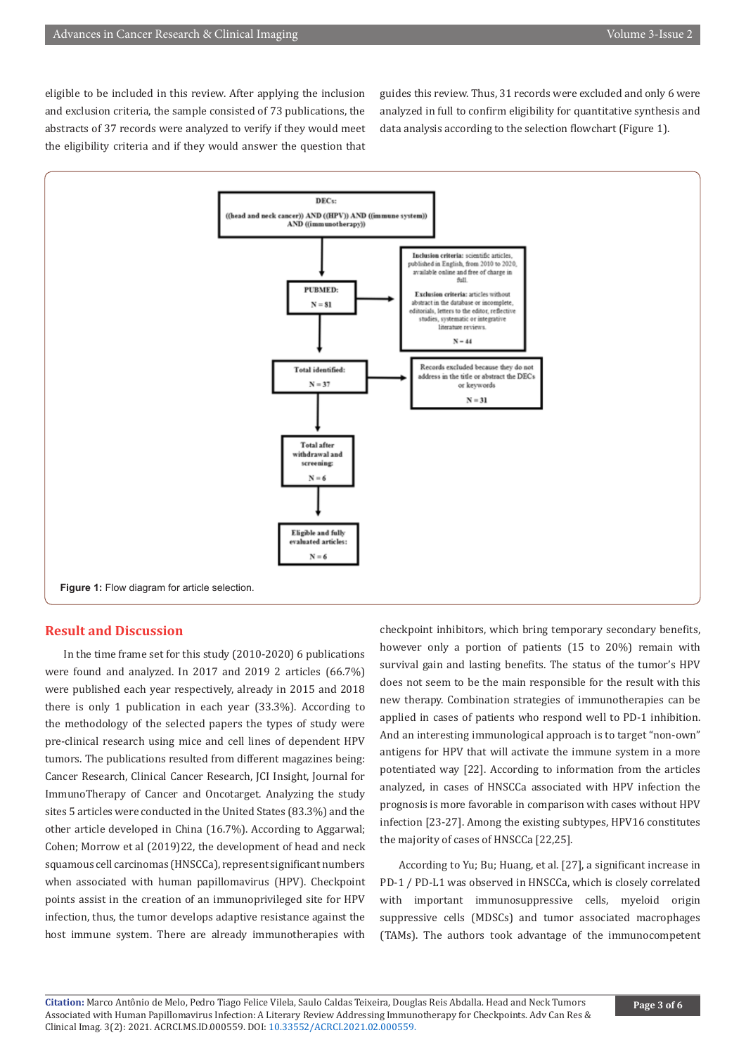eligible to be included in this review. After applying the inclusion and exclusion criteria, the sample consisted of 73 publications, the abstracts of 37 records were analyzed to verify if they would meet the eligibility criteria and if they would answer the question that

guides this review. Thus, 31 records were excluded and only 6 were analyzed in full to confirm eligibility for quantitative synthesis and data analysis according to the selection flowchart (Figure 1).



#### **Result and Discussion**

In the time frame set for this study (2010-2020) 6 publications were found and analyzed. In 2017 and 2019 2 articles (66.7%) were published each year respectively, already in 2015 and 2018 there is only 1 publication in each year (33.3%). According to the methodology of the selected papers the types of study were pre-clinical research using mice and cell lines of dependent HPV tumors. The publications resulted from different magazines being: Cancer Research, Clinical Cancer Research, JCI Insight, Journal for ImmunoTherapy of Cancer and Oncotarget. Analyzing the study sites 5 articles were conducted in the United States (83.3%) and the other article developed in China (16.7%). According to Aggarwal; Cohen; Morrow et al (2019)22, the development of head and neck squamous cell carcinomas (HNSCCa), represent significant numbers when associated with human papillomavirus (HPV). Checkpoint points assist in the creation of an immunoprivileged site for HPV infection, thus, the tumor develops adaptive resistance against the host immune system. There are already immunotherapies with

checkpoint inhibitors, which bring temporary secondary benefits, however only a portion of patients (15 to 20%) remain with survival gain and lasting benefits. The status of the tumor's HPV does not seem to be the main responsible for the result with this new therapy. Combination strategies of immunotherapies can be applied in cases of patients who respond well to PD-1 inhibition. And an interesting immunological approach is to target "non-own" antigens for HPV that will activate the immune system in a more potentiated way [22]. According to information from the articles analyzed, in cases of HNSCCa associated with HPV infection the prognosis is more favorable in comparison with cases without HPV infection [23-27]. Among the existing subtypes, HPV16 constitutes the majority of cases of HNSCCa [22,25].

According to Yu; Bu; Huang, et al. [27], a significant increase in PD-1 / PD-L1 was observed in HNSCCa, which is closely correlated with important immunosuppressive cells, myeloid origin suppressive cells (MDSCs) and tumor associated macrophages (TAMs). The authors took advantage of the immunocompetent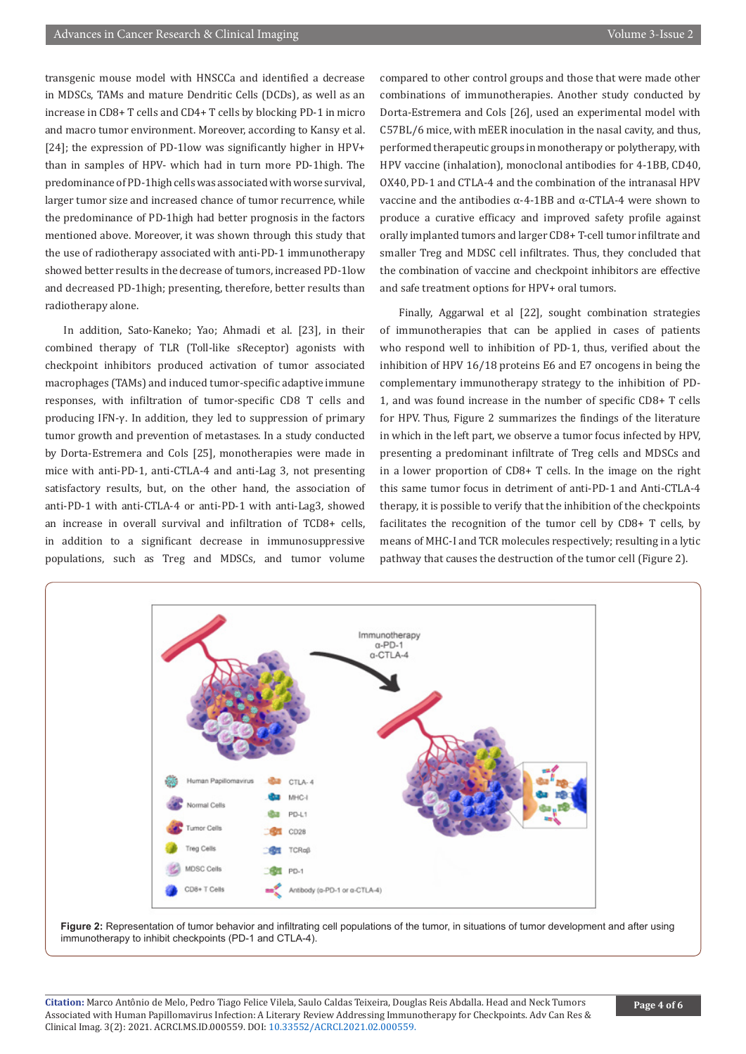transgenic mouse model with HNSCCa and identified a decrease in MDSCs, TAMs and mature Dendritic Cells (DCDs), as well as an increase in CD8+ T cells and CD4+ T cells by blocking PD-1 in micro and macro tumor environment. Moreover, according to Kansy et al. [24]; the expression of PD-1low was significantly higher in HPV+ than in samples of HPV- which had in turn more PD-1high. The predominance of PD-1high cells was associated with worse survival, larger tumor size and increased chance of tumor recurrence, while the predominance of PD-1high had better prognosis in the factors mentioned above. Moreover, it was shown through this study that the use of radiotherapy associated with anti-PD-1 immunotherapy showed better results in the decrease of tumors, increased PD-1low and decreased PD-1high; presenting, therefore, better results than radiotherapy alone.

In addition, Sato-Kaneko; Yao; Ahmadi et al. [23], in their combined therapy of TLR (Toll-like sReceptor) agonists with checkpoint inhibitors produced activation of tumor associated macrophages (TAMs) and induced tumor-specific adaptive immune responses, with infiltration of tumor-specific CD8 T cells and producing IFN-γ. In addition, they led to suppression of primary tumor growth and prevention of metastases. In a study conducted by Dorta-Estremera and Cols [25], monotherapies were made in mice with anti-PD-1, anti-CTLA-4 and anti-Lag 3, not presenting satisfactory results, but, on the other hand, the association of anti-PD-1 with anti-CTLA-4 or anti-PD-1 with anti-Lag3, showed an increase in overall survival and infiltration of TCD8+ cells, in addition to a significant decrease in immunosuppressive populations, such as Treg and MDSCs, and tumor volume

compared to other control groups and those that were made other combinations of immunotherapies. Another study conducted by Dorta-Estremera and Cols [26], used an experimental model with C57BL/6 mice, with mEER inoculation in the nasal cavity, and thus, performed therapeutic groups in monotherapy or polytherapy, with HPV vaccine (inhalation), monoclonal antibodies for 4-1BB, CD40, OX40, PD-1 and CTLA-4 and the combination of the intranasal HPV vaccine and the antibodies α-4-1BB and α-CTLA-4 were shown to produce a curative efficacy and improved safety profile against orally implanted tumors and larger CD8+ T-cell tumor infiltrate and smaller Treg and MDSC cell infiltrates. Thus, they concluded that the combination of vaccine and checkpoint inhibitors are effective and safe treatment options for HPV+ oral tumors.

Finally, Aggarwal et al [22], sought combination strategies of immunotherapies that can be applied in cases of patients who respond well to inhibition of PD-1, thus, verified about the inhibition of HPV 16/18 proteins E6 and E7 oncogens in being the complementary immunotherapy strategy to the inhibition of PD-1, and was found increase in the number of specific CD8+ T cells for HPV. Thus, Figure 2 summarizes the findings of the literature in which in the left part, we observe a tumor focus infected by HPV, presenting a predominant infiltrate of Treg cells and MDSCs and in a lower proportion of CD8+ T cells. In the image on the right this same tumor focus in detriment of anti-PD-1 and Anti-CTLA-4 therapy, it is possible to verify that the inhibition of the checkpoints facilitates the recognition of the tumor cell by CD8+ T cells, by means of MHC-I and TCR molecules respectively; resulting in a lytic pathway that causes the destruction of the tumor cell (Figure 2).



**Figure 2:** Representation of tumor behavior and infiltrating cell populations of the tumor, in situations of tumor development and after using immunotherapy to inhibit checkpoints (PD-1 and CTLA-4).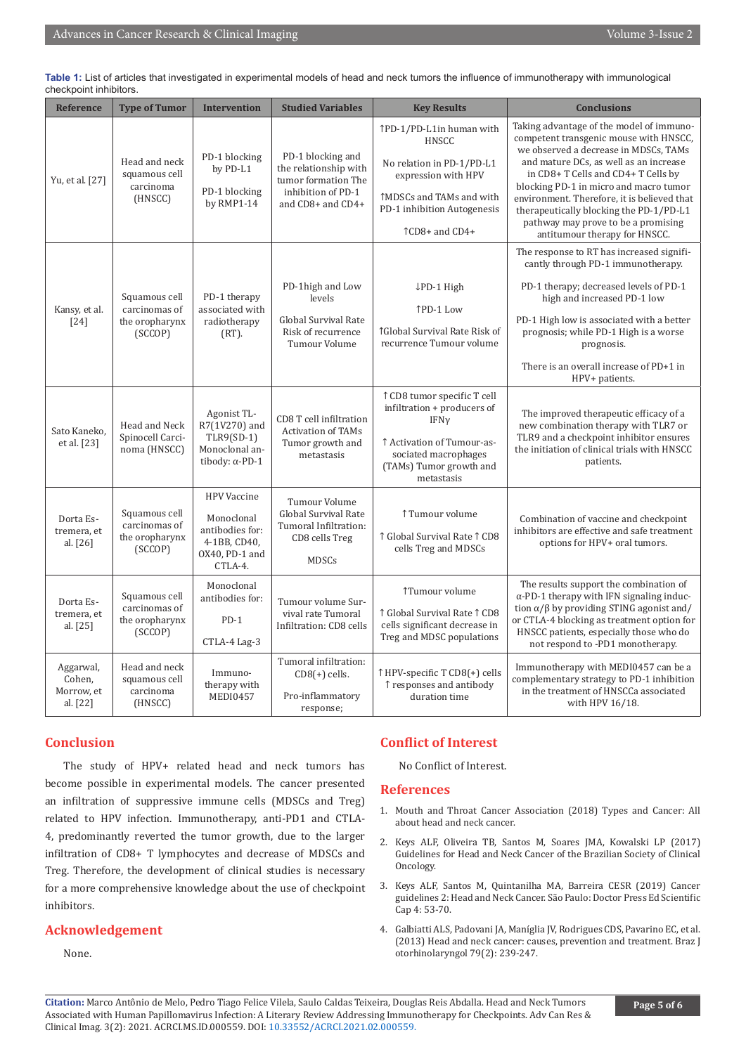| <b>Reference</b>                              | <b>Type of Tumor</b>                                        | <b>Intervention</b>                                                                              | <b>Studied Variables</b>                                                                                     | <b>Key Results</b>                                                                                                                                                               | <b>Conclusions</b>                                                                                                                                                                                                                                                                                                                                                                                                       |
|-----------------------------------------------|-------------------------------------------------------------|--------------------------------------------------------------------------------------------------|--------------------------------------------------------------------------------------------------------------|----------------------------------------------------------------------------------------------------------------------------------------------------------------------------------|--------------------------------------------------------------------------------------------------------------------------------------------------------------------------------------------------------------------------------------------------------------------------------------------------------------------------------------------------------------------------------------------------------------------------|
| Yu, et al. [27]                               | Head and neck<br>squamous cell<br>carcinoma<br>(HNSCC)      | PD-1 blocking<br>by PD-L1<br>PD-1 blocking<br>by RMP1-14                                         | PD-1 blocking and<br>the relationship with<br>tumor formation The<br>inhibition of PD-1<br>and CD8+ and CD4+ | ↑PD-1/PD-L1in human with<br>HNSCC<br>No relation in PD-1/PD-L1<br>expression with HPV<br><b>TMDSCs and TAMs and with</b><br>PD-1 inhibition Autogenesis<br><b>TCD8+ and CD4+</b> | Taking advantage of the model of immuno-<br>competent transgenic mouse with HNSCC,<br>we observed a decrease in MDSCs, TAMs<br>and mature DCs, as well as an increase<br>in CD8+ T Cells and CD4+ T Cells by<br>blocking PD-1 in micro and macro tumor<br>environment. Therefore, it is believed that<br>therapeutically blocking the PD-1/PD-L1<br>pathway may prove to be a promising<br>antitumour therapy for HNSCC. |
| Kansy, et al.<br>$[24]$                       | Squamous cell<br>carcinomas of<br>the oropharynx<br>(SCCOP) | PD-1 therapy<br>associated with<br>radiotherapy<br>$(RT)$ .                                      | PD-1high and Low<br>levels<br>Global Survival Rate<br>Risk of recurrence<br>Tumour Volume                    | $LPD-1$ High<br>↑PD-1 Low<br><b>1Global Survival Rate Risk of</b><br>recurrence Tumour volume                                                                                    | The response to RT has increased signifi-<br>cantly through PD-1 immunotherapy.<br>PD-1 therapy; decreased levels of PD-1<br>high and increased PD-1 low<br>PD-1 High low is associated with a better<br>prognosis; while PD-1 High is a worse<br>prognosis.<br>There is an overall increase of PD+1 in<br>HPV+ patients.                                                                                                |
| Sato Kaneko,<br>et al. [23]                   | Head and Neck<br>Spinocell Carci-<br>noma (HNSCC)           | Agonist TL-<br>R7(1V270) and<br>$TLR9(SD-1)$<br>Monoclonal an-<br>tibody: $\alpha$ -PD-1         | CD8 T cell infiltration<br><b>Activation of TAMs</b><br>Tumor growth and<br>metastasis                       | ↑ CD8 tumor specific T cell<br>infiltration + producers of<br>IFNy<br>↑ Activation of Tumour-as-<br>sociated macrophages<br>(TAMs) Tumor growth and<br>metastasis                | The improved therapeutic efficacy of a<br>new combination therapy with TLR7 or<br>TLR9 and a checkpoint inhibitor ensures<br>the initiation of clinical trials with HNSCC<br>patients.                                                                                                                                                                                                                                   |
| Dorta Es-<br>tremera, et<br>al. [26]          | Squamous cell<br>carcinomas of<br>the oropharynx<br>(SCCOP) | <b>HPV</b> Vaccine<br>Monoclonal<br>antibodies for:<br>4-1BB, CD40,<br>OX40, PD-1 and<br>CTLA-4. | Tumour Volume<br>Global Survival Rate<br>Tumoral Infiltration:<br>CD8 cells Treg<br><b>MDSCs</b>             | ↑ Tumour volume<br>↑ Global Survival Rate ↑ CD8<br>cells Treg and MDSCs                                                                                                          | Combination of vaccine and checkpoint<br>inhibitors are effective and safe treatment<br>options for HPV+ oral tumors.                                                                                                                                                                                                                                                                                                    |
| Dorta Es-<br>tremera, et<br>al. [25]          | Squamous cell<br>carcinomas of<br>the oropharynx<br>(SCCOP) | Monoclonal<br>antibodies for:<br>$PD-1$<br>CTLA-4 Lag-3                                          | Tumour volume Sur-<br>vival rate Tumoral<br>Infiltration: CD8 cells                                          | Tumour volume<br>↑ Global Survival Rate ↑ CD8<br>cells significant decrease in<br>Treg and MDSC populations                                                                      | The results support the combination of<br>$\alpha$ -PD-1 therapy with IFN signaling induc-<br>tion $\alpha/\beta$ by providing STING agonist and/<br>or CTLA-4 blocking as treatment option for<br>HNSCC patients, especially those who do<br>not respond to -PD1 monotherapy.                                                                                                                                           |
| Aggarwal,<br>Cohen,<br>Morrow, et<br>al. [22] | Head and neck<br>squamous cell<br>carcinoma<br>(HNSCC)      | Immuno-<br>therapy with<br><b>MEDI0457</b>                                                       | Tumoral infiltration:<br>$CD8(+)$ cells.<br>Pro-inflammatory<br>response;                                    | ↑ HPV-specific T CD8(+) cells<br>↑ responses and antibody<br>duration time                                                                                                       | Immunotherapy with MEDI0457 can be a<br>complementary strategy to PD-1 inhibition<br>in the treatment of HNSCCa associated<br>with HPV 16/18.                                                                                                                                                                                                                                                                            |

**Table 1:** List of articles that investigated in experimental models of head and neck tumors the influence of immunotherapy with immunological checkpoint inhibitors.

# **Conclusion**

The study of HPV+ related head and neck tumors has become possible in experimental models. The cancer presented an infiltration of suppressive immune cells (MDSCs and Treg) related to HPV infection. Immunotherapy, anti-PD1 and CTLA-4, predominantly reverted the tumor growth, due to the larger infiltration of CD8+ T lymphocytes and decrease of MDSCs and Treg. Therefore, the development of clinical studies is necessary for a more comprehensive knowledge about the use of checkpoint inhibitors.

### **Acknowledgement**

None.

# **Conflict of Interest**

No Conflict of Interest.

#### **References**

- 1. Mouth and Throat Cancer Association (2018) Types and Cancer: All about head and neck cancer.
- 2. Keys ALF, Oliveira TB, Santos M, Soares JMA, Kowalski LP (2017) Guidelines for Head and Neck Cancer of the Brazilian Society of Clinical Oncology.
- 3. Keys ALF, Santos M, Quintanilha MA, Barreira CESR (2019) Cancer guidelines 2: Head and Neck Cancer. São Paulo: Doctor Press Ed Scientific Cap 4: 53-70.
- 4. [Galbiatti ALS, Padovani JA, Maníglia JV, Rodrigues CDS, Pavarino EC, et al.](https://pubmed.ncbi.nlm.nih.gov/23670332/) [\(2013\) Head and neck cancer: causes, prevention and treatment. Braz J](https://pubmed.ncbi.nlm.nih.gov/23670332/) [otorhinolaryngol 79\(2\): 239-247.](https://pubmed.ncbi.nlm.nih.gov/23670332/)